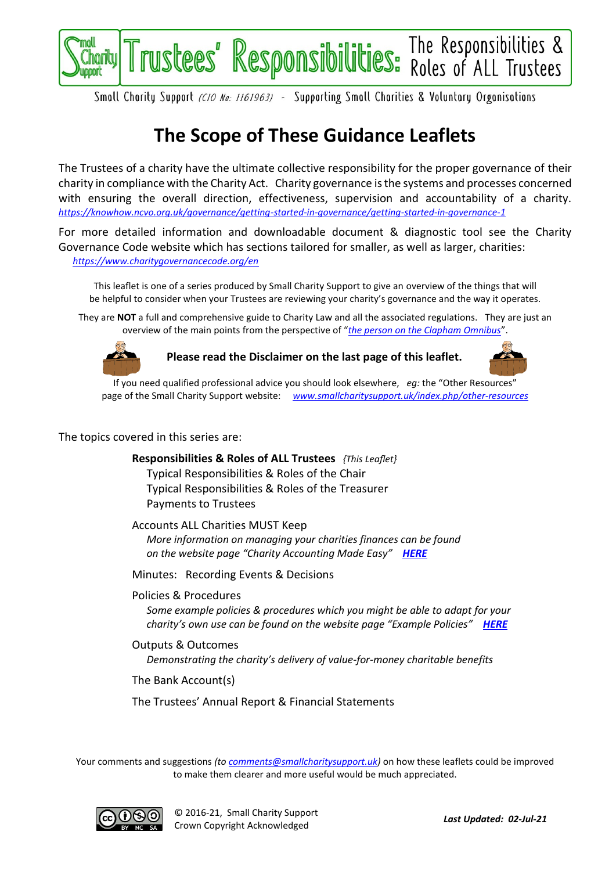

Smoll Chority Support (CIO No: 1161963) - Supporting Smoll Chorities & Voluntory Organisotions

## **The Scope of These Guidance Leaflets**

The Trustees of a charity have the ultimate collective responsibility for the proper governance of their charity in compliance with the Charity Act. Charity governance is the systems and processes concerned with ensuring the overall direction, effectiveness, supervision and accountability of a charity. *<https://knowhow.ncvo.org.uk/governance/getting-started-in-governance/getting-started-in-governance-1>*

For more detailed information and downloadable document & diagnostic tool see the Charity Governance Code website which has sections tailored for smaller, as well as larger, charities: *<https://www.charitygovernancecode.org/en>*

This leaflet is one of a series produced by Small Charity Support to give an overview of the things that will be helpful to consider when your Trustees are reviewing your charity's governance and the way it operates.

They are **NOT** a full and comprehensive guide to Charity Law and all the associated regulations. They are just an overview of the main points from the perspective of "*[the person on the Clapham Omnibus](https://en.wikipedia.org/wiki/The_man_on_the_Clapham_omnibus)*".



**Please read the Disclaimer on the last page of this leaflet.**



If you need qualified professional advice you should look elsewhere, *eg:* the "Other Resources" page of the Small Charity Support website: *[www.smallcharitysupport.uk/index.php/other-resources](http://www.smallcharitysupport.uk/index.php/other-resources)*

The topics covered in this series are:

**Responsibilities & Roles of ALL Trustees** *{This Leaflet}* Typical Responsibilities & Roles of the Chair Typical Responsibilities & Roles of the Treasurer Payments to Trustees

Accounts ALL Charities MUST Keep *More information on managing your charities finances can be found on the website page "Charity Accounting Made Easy" [HERE](https://www.smallcharitysupport.uk/index.php/accountsmadeeasy)*

Minutes: Recording Events & Decisions

Policies & Procedures

*Some example policies & procedures which you might be able to adapt for your charity's own use can be found on the website page "Example Policies" [HERE](https://www.smallcharitysupport.uk/index.php/example-policies)*

Outputs & Outcomes *Demonstrating the charity's delivery of value-for-money charitable benefits*

The Bank Account(s)

The Trustees' Annual Report & Financial Statements

Your comments and suggestions *(to [comments@smallcharitysupport.uk\)](mailto:comments@smallcharitysupport.uk)* on how these leaflets could be improved to make them clearer and more useful would be much appreciated.

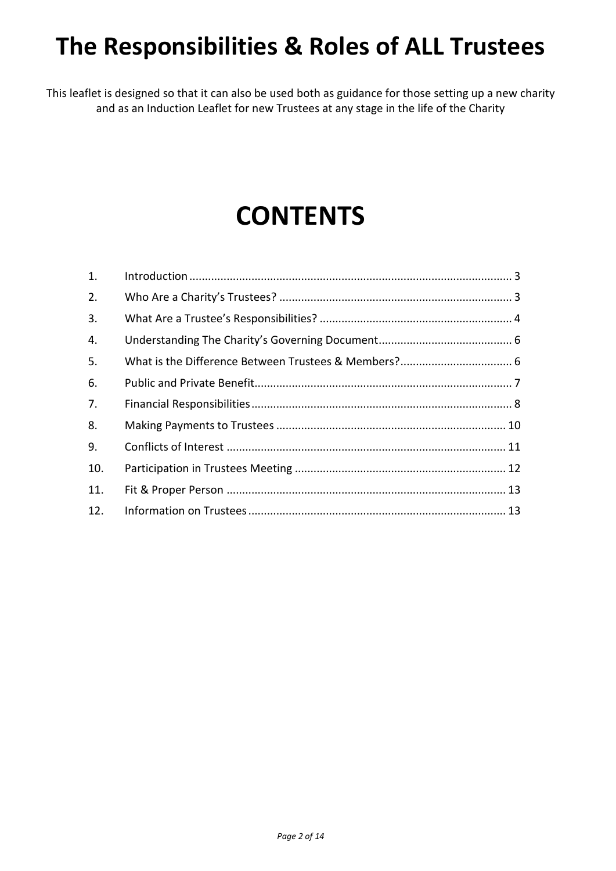# **The Responsibilities & Roles of ALL Trustees**

This leaflet is designed so that it can also be used both as guidance for those setting up a new charity and as an Induction Leaflet for new Trustees at any stage in the life of the Charity

# **CONTENTS**

| 1.  |  |
|-----|--|
| 2.  |  |
| 3.  |  |
| 4.  |  |
| 5.  |  |
| 6.  |  |
| 7.  |  |
| 8.  |  |
| 9.  |  |
| 10. |  |
| 11. |  |
| 12. |  |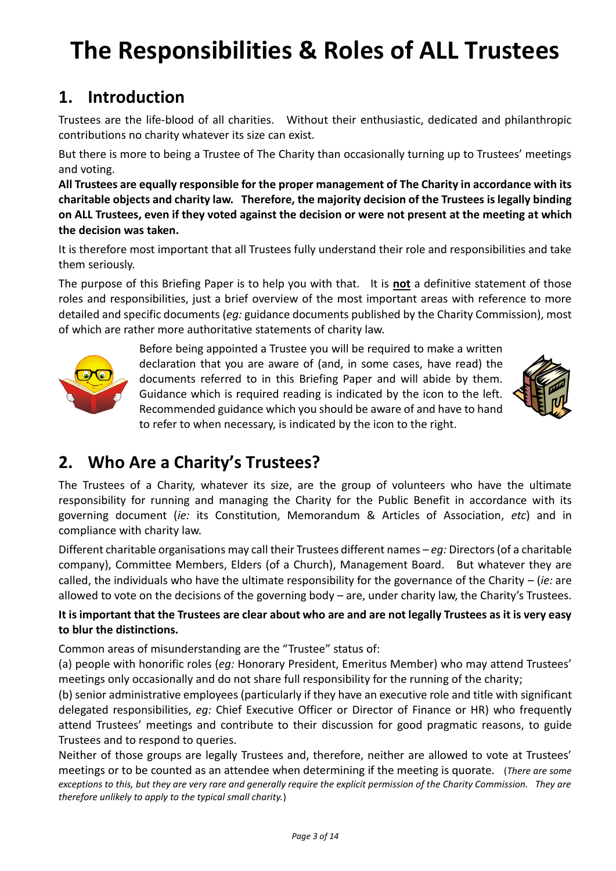# **The Responsibilities & Roles of ALL Trustees**

### <span id="page-2-0"></span>**1. Introduction**

Trustees are the life-blood of all charities. Without their enthusiastic, dedicated and philanthropic contributions no charity whatever its size can exist.

But there is more to being a Trustee of The Charity than occasionally turning up to Trustees' meetings and voting.

**All Trustees are equally responsible for the proper management of The Charity in accordance with its charitable objects and charity law. Therefore, the majority decision of the Trustees is legally binding on ALL Trustees, even if they voted against the decision or were not present at the meeting at which the decision was taken.**

It is therefore most important that all Trustees fully understand their role and responsibilities and take them seriously.

The purpose of this Briefing Paper is to help you with that. It is **not** a definitive statement of those roles and responsibilities, just a brief overview of the most important areas with reference to more detailed and specific documents (*eg:* guidance documents published by the Charity Commission), most of which are rather more authoritative statements of charity law.



Before being appointed a Trustee you will be required to make a written declaration that you are aware of (and, in some cases, have read) the documents referred to in this Briefing Paper and will abide by them. Guidance which is required reading is indicated by the icon to the left. Recommended guidance which you should be aware of and have to hand to refer to when necessary, is indicated by the icon to the right.



### <span id="page-2-1"></span>**2. Who Are a Charity's Trustees?**

The Trustees of a Charity, whatever its size, are the group of volunteers who have the ultimate responsibility for running and managing the Charity for the Public Benefit in accordance with its governing document (*ie:* its Constitution, Memorandum & Articles of Association, *etc*) and in compliance with charity law.

Different charitable organisations may call their Trustees different names – *eg:* Directors (of a charitable company), Committee Members, Elders (of a Church), Management Board. But whatever they are called, the individuals who have the ultimate responsibility for the governance of the Charity – (*ie:* are allowed to vote on the decisions of the governing body – are, under charity law, the Charity's Trustees.

#### **It is important that the Trustees are clear about who are and are not legally Trustees as it is very easy to blur the distinctions.**

Common areas of misunderstanding are the "Trustee" status of:

(a) people with honorific roles (*eg:* Honorary President, Emeritus Member) who may attend Trustees' meetings only occasionally and do not share full responsibility for the running of the charity;

(b) senior administrative employees (particularly if they have an executive role and title with significant delegated responsibilities, *eg:* Chief Executive Officer or Director of Finance or HR) who frequently attend Trustees' meetings and contribute to their discussion for good pragmatic reasons, to guide Trustees and to respond to queries.

Neither of those groups are legally Trustees and, therefore, neither are allowed to vote at Trustees' meetings or to be counted as an attendee when determining if the meeting is quorate. (*There are some exceptions to this, but they are very rare and generally require the explicit permission of the Charity Commission. They are therefore unlikely to apply to the typical small charity.*)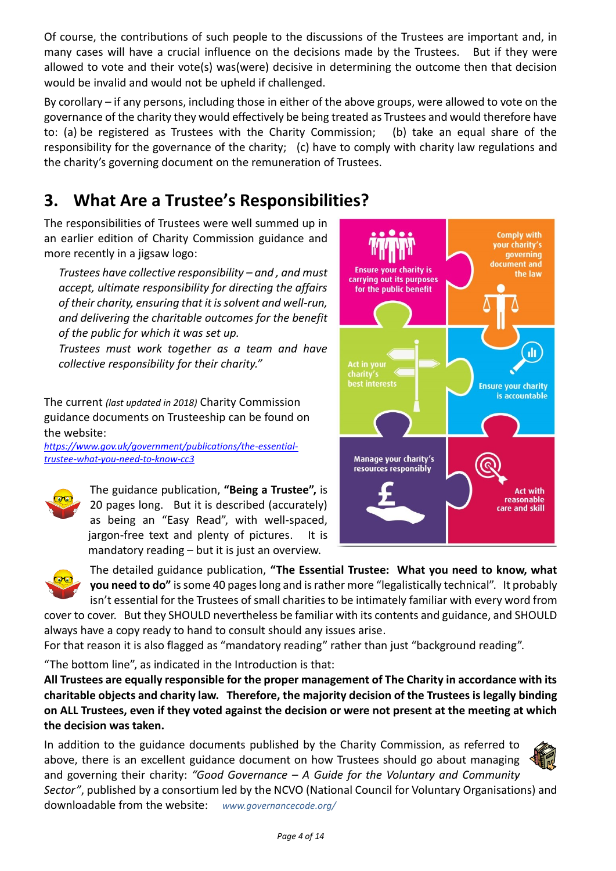Of course, the contributions of such people to the discussions of the Trustees are important and, in many cases will have a crucial influence on the decisions made by the Trustees. But if they were allowed to vote and their vote(s) was(were) decisive in determining the outcome then that decision would be invalid and would not be upheld if challenged.

By corollary – if any persons, including those in either of the above groups, were allowed to vote on the governance of the charity they would effectively be being treated as Trustees and would therefore have to: (a) be registered as Trustees with the Charity Commission; (b) take an equal share of the responsibility for the governance of the charity; (c) have to comply with charity law regulations and the charity's governing document on the remuneration of Trustees.

## <span id="page-3-0"></span>**3. What Are a Trustee's Responsibilities?**

The responsibilities of Trustees were well summed up in an earlier edition of Charity Commission guidance and more recently in a jigsaw logo:

*Trustees have collective responsibility – and , and must accept, ultimate responsibility for directing the affairs of their charity, ensuring that it is solvent and well-run, and delivering the charitable outcomes for the benefit of the public for which it was set up.*

*Trustees must work together as a team and have collective responsibility for their charity."*

The current *(last updated in 2018)* Charity Commission guidance documents on Trusteeship can be found on the website:

*[https://www.gov.uk/government/publications/the-essential](https://www.gov.uk/government/publications/the-essential-trustee-what-you-need-to-know-cc3)[trustee-what-you-need-to-know-cc3](https://www.gov.uk/government/publications/the-essential-trustee-what-you-need-to-know-cc3)*



The guidance publication, **"Being a Trustee",** is 20 pages long. But it is described (accurately) as being an "Easy Read", with well-spaced, jargon-free text and plenty of pictures. It is mandatory reading – but it is just an overview.





The detailed guidance publication, **"The Essential Trustee: What you need to know, what you need to do"** is some 40 pages long and is rather more "legalistically technical". It probably isn't essential for the Trustees of small charities to be intimately familiar with every word from

cover to cover. But they SHOULD nevertheless be familiar with its contents and guidance, and SHOULD always have a copy ready to hand to consult should any issues arise.

For that reason it is also flagged as "mandatory reading" rather than just "background reading".

"The bottom line", as indicated in the Introduction is that:

**All Trustees are equally responsible for the proper management of The Charity in accordance with its charitable objects and charity law. Therefore, the majority decision of the Trustees is legally binding on ALL Trustees, even if they voted against the decision or were not present at the meeting at which the decision was taken.**

In addition to the guidance documents published by the Charity Commission, as referred to above, there is an excellent guidance document on how Trustees should go about managing and governing their charity: *"Good Governance – A Guide for the Voluntary and Community Sector"*, published by a consortium led by the NCVO (National Council for Voluntary Organisations) and

downloadable from the website: *[www.governancecode.org/](http://www.governancecode.org/)*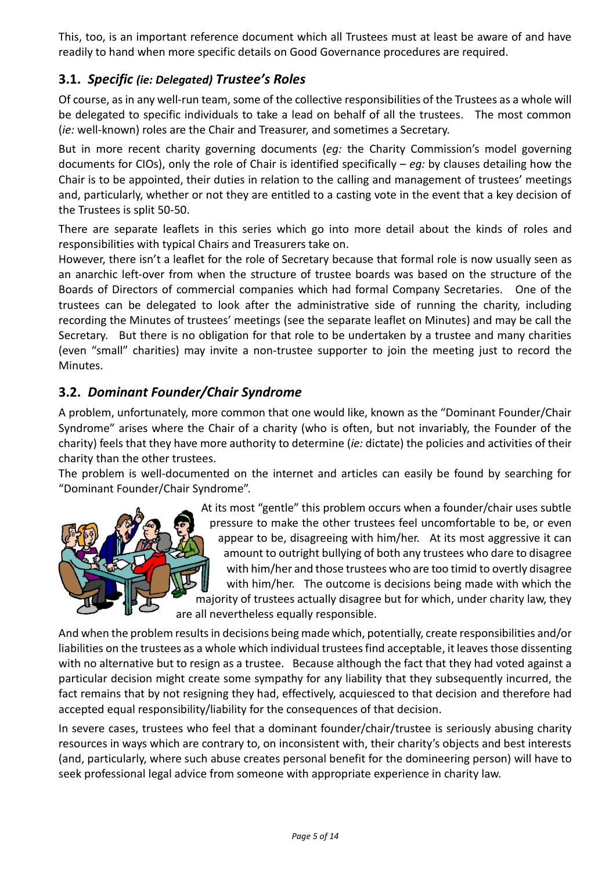This, too, is an important reference document which all Trustees must at least be aware of and have readily to hand when more specific details on Good Governance procedures are required.

#### **3.1.** *Specific (ie: Delegated) Trustee's Roles*

Of course, as in any well-run team, some of the collective responsibilities of the Trustees as a whole will be delegated to specific individuals to take a lead on behalf of all the trustees. The most common (*ie:* well-known) roles are the Chair and Treasurer, and sometimes a Secretary.

But in more recent charity governing documents (*eg:* the Charity Commission's model governing documents for CIOs), only the role of Chair is identified specifically – *eg:* by clauses detailing how the Chair is to be appointed, their duties in relation to the calling and management of trustees' meetings and, particularly, whether or not they are entitled to a casting vote in the event that a key decision of the Trustees is split 50-50.

There are separate leaflets in this series which go into more detail about the kinds of roles and responsibilities with typical Chairs and Treasurers take on.

However, there isn't a leaflet for the role of Secretary because that formal role is now usually seen as an anarchic left-over from when the structure of trustee boards was based on the structure of the Boards of Directors of commercial companies which had formal Company Secretaries. One of the trustees can be delegated to look after the administrative side of running the charity, including recording the Minutes of trustees' meetings (see the separate leaflet on Minutes) and may be call the Secretary. But there is no obligation for that role to be undertaken by a trustee and many charities (even "small" charities) may invite a non-trustee supporter to join the meeting just to record the Minutes.

#### **3.2.** *Dominant Founder/Chair Syndrome*

A problem, unfortunately, more common that one would like, known as the "Dominant Founder/Chair Syndrome" arises where the Chair of a charity (who is often, but not invariably, the Founder of the charity) feels that they have more authority to determine (*ie:* dictate) the policies and activities of their charity than the other trustees.

The problem is well-documented on the internet and articles can easily be found by searching for "Dominant Founder/Chair Syndrome".



 At its most "gentle" this problem occurs when a founder/chair uses subtle pressure to make the other trustees feel uncomfortable to be, or even appear to be, disagreeing with him/her. At its most aggressive it can amount to outright bullying of both any trustees who dare to disagree with him/her and those trustees who are too timid to overtly disagree with him/her. The outcome is decisions being made with which the majority of trustees actually disagree but for which, under charity law, they are all nevertheless equally responsible.

And when the problem results in decisions being made which, potentially, create responsibilities and/or liabilities on the trustees as a whole which individual trustees find acceptable, it leaves those dissenting with no alternative but to resign as a trustee. Because although the fact that they had voted against a particular decision might create some sympathy for any liability that they subsequently incurred, the fact remains that by not resigning they had, effectively, acquiesced to that decision and therefore had accepted equal responsibility/liability for the consequences of that decision.

In severe cases, trustees who feel that a dominant founder/chair/trustee is seriously abusing charity resources in ways which are contrary to, on inconsistent with, their charity's objects and best interests (and, particularly, where such abuse creates personal benefit for the domineering person) will have to seek professional legal advice from someone with appropriate experience in charity law.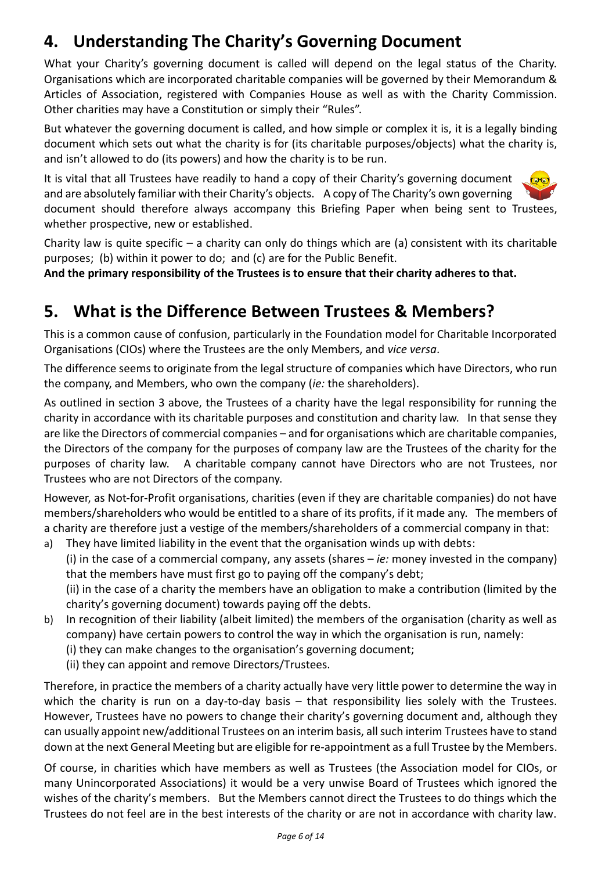## <span id="page-5-0"></span>**4. Understanding The Charity's Governing Document**

What your Charity's governing document is called will depend on the legal status of the Charity. Organisations which are incorporated charitable companies will be governed by their Memorandum & Articles of Association, registered with Companies House as well as with the Charity Commission. Other charities may have a Constitution or simply their "Rules".

But whatever the governing document is called, and how simple or complex it is, it is a legally binding document which sets out what the charity is for (its charitable purposes/objects) what the charity is, and isn't allowed to do (its powers) and how the charity is to be run.

It is vital that all Trustees have readily to hand a copy of their Charity's governing document and are absolutely familiar with their Charity's objects. A copy of The Charity's own governing document should therefore always accompany this Briefing Paper when being sent to Trustees, whether prospective, new or established.

Charity law is quite specific – a charity can only do things which are (a) consistent with its charitable purposes; (b) within it power to do; and (c) are for the Public Benefit.

<span id="page-5-1"></span>**And the primary responsibility of the Trustees is to ensure that their charity adheres to that.**

### **5. What is the Difference Between Trustees & Members?**

This is a common cause of confusion, particularly in the Foundation model for Charitable Incorporated Organisations (CIOs) where the Trustees are the only Members, and *vice versa*.

The difference seems to originate from the legal structure of companies which have Directors, who run the company, and Members, who own the company (*ie:* the shareholders).

As outlined in section [3](#page-3-0) above, the Trustees of a charity have the legal responsibility for running the charity in accordance with its charitable purposes and constitution and charity law. In that sense they are like the Directors of commercial companies – and for organisations which are charitable companies, the Directors of the company for the purposes of company law are the Trustees of the charity for the purposes of charity law. A charitable company cannot have Directors who are not Trustees, nor Trustees who are not Directors of the company.

However, as Not-for-Profit organisations, charities (even if they are charitable companies) do not have members/shareholders who would be entitled to a share of its profits, if it made any. The members of a charity are therefore just a vestige of the members/shareholders of a commercial company in that:

a) They have limited liability in the event that the organisation winds up with debts: (i) in the case of a commercial company, any assets (shares – *ie:* money invested in the company) that the members have must first go to paying off the company's debt; (ii) in the case of a charity the members have an obligation to make a contribution (limited by the

charity's governing document) towards paying off the debts.

- b) In recognition of their liability (albeit limited) the members of the organisation (charity as well as company) have certain powers to control the way in which the organisation is run, namely: (i) they can make changes to the organisation's governing document;
	- (ii) they can appoint and remove Directors/Trustees.

Therefore, in practice the members of a charity actually have very little power to determine the way in which the charity is run on a day-to-day basis – that responsibility lies solely with the Trustees. However, Trustees have no powers to change their charity's governing document and, although they can usually appoint new/additional Trustees on an interim basis, all such interim Trustees have to stand down at the next General Meeting but are eligible for re-appointment as a full Trustee by the Members.

Of course, in charities which have members as well as Trustees (the Association model for CIOs, or many Unincorporated Associations) it would be a very unwise Board of Trustees which ignored the wishes of the charity's members. But the Members cannot direct the Trustees to do things which the Trustees do not feel are in the best interests of the charity or are not in accordance with charity law.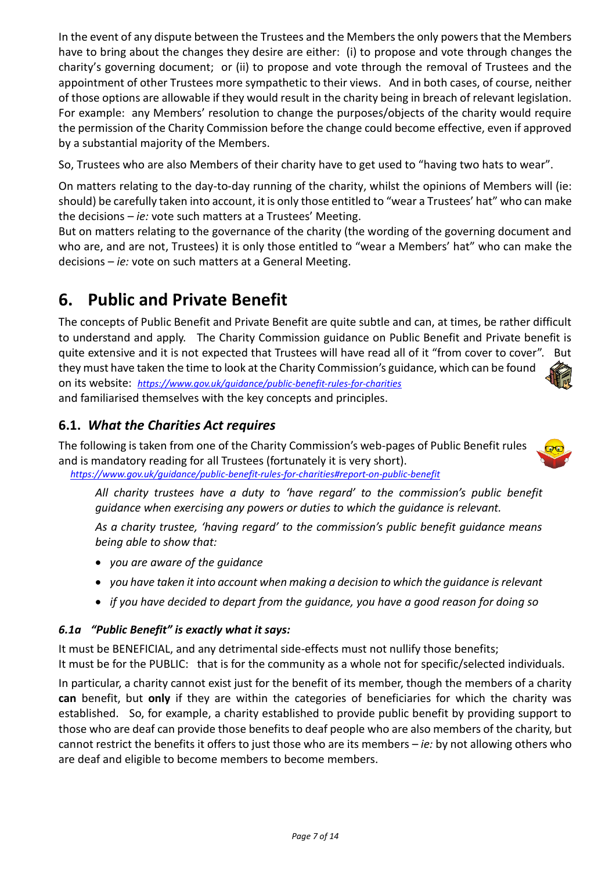In the event of any dispute between the Trustees and the Members the only powers that the Members have to bring about the changes they desire are either: (i) to propose and vote through changes the charity's governing document; or (ii) to propose and vote through the removal of Trustees and the appointment of other Trustees more sympathetic to their views. And in both cases, of course, neither of those options are allowable if they would result in the charity being in breach of relevant legislation. For example: any Members' resolution to change the purposes/objects of the charity would require the permission of the Charity Commission before the change could become effective, even if approved by a substantial majority of the Members.

So, Trustees who are also Members of their charity have to get used to "having two hats to wear".

On matters relating to the day-to-day running of the charity, whilst the opinions of Members will (ie: should) be carefully taken into account, it is only those entitled to "wear a Trustees' hat" who can make the decisions – *ie:* vote such matters at a Trustees' Meeting.

But on matters relating to the governance of the charity (the wording of the governing document and who are, and are not, Trustees) it is only those entitled to "wear a Members' hat" who can make the decisions – *ie:* vote on such matters at a General Meeting.

### <span id="page-6-0"></span>**6. Public and Private Benefit**

The concepts of Public Benefit and Private Benefit are quite subtle and can, at times, be rather difficult to understand and apply. The Charity Commission guidance on Public Benefit and Private benefit is quite extensive and it is not expected that Trustees will have read all of it "from cover to cover". But they must have taken the time to look at the Charity Commission's guidance, which can be found on its website: *<https://www.gov.uk/guidance/public-benefit-rules-for-charities>* and familiarised themselves with the key concepts and principles.

#### **6.1.** *What the Charities Act requires*

The following is taken from one of the Charity Commission's web-pages of Public Benefit rules and is mandatory reading for all Trustees (fortunately it is very short).



*All charity trustees have a duty to 'have regard' to the commission's public benefit guidance when exercising any powers or duties to which the guidance is relevant.* 

*As a charity trustee, 'having regard' to the commission's public benefit guidance means being able to show that:*

- *you are aware of the guidance*
- *you have taken it into account when making a decision to which the guidance is relevant*
- *if you have decided to depart from the guidance, you have a good reason for doing so*

#### *6.1a "Public Benefit" is exactly what it says:*

It must be BENEFICIAL, and any detrimental side-effects must not nullify those benefits; It must be for the PUBLIC: that is for the community as a whole not for specific/selected individuals.

In particular, a charity cannot exist just for the benefit of its member, though the members of a charity **can** benefit, but **only** if they are within the categories of beneficiaries for which the charity was established. So, for example, a charity established to provide public benefit by providing support to those who are deaf can provide those benefits to deaf people who are also members of the charity, but cannot restrict the benefits it offers to just those who are its members – *ie:* by not allowing others who are deaf and eligible to become members to become members.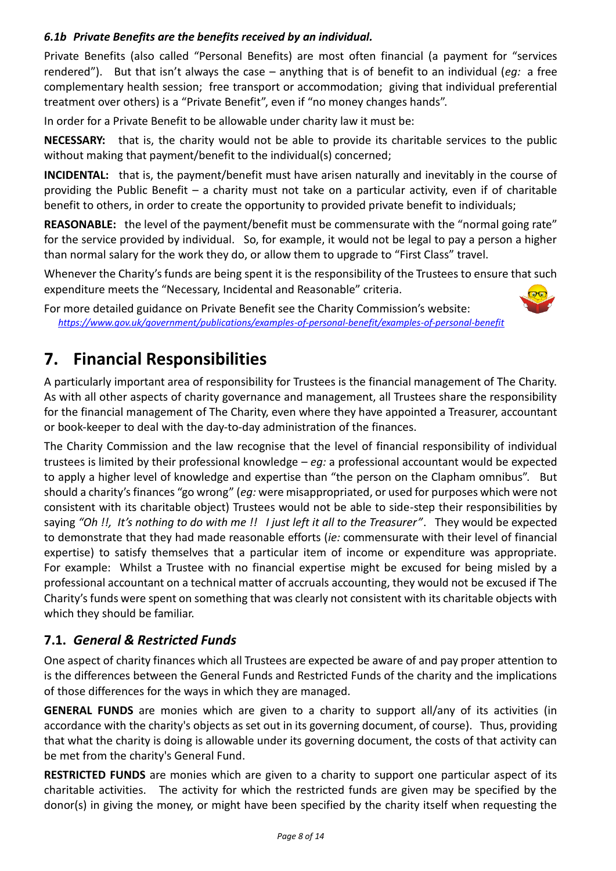#### <span id="page-7-1"></span>*6.1b Private Benefits are the benefits received by an individual.*

Private Benefits (also called "Personal Benefits) are most often financial (a payment for "services rendered"). But that isn't always the case – anything that is of benefit to an individual (*eg:* a free complementary health session; free transport or accommodation; giving that individual preferential treatment over others) is a "Private Benefit", even if "no money changes hands".

In order for a Private Benefit to be allowable under charity law it must be:

**NECESSARY:** that is, the charity would not be able to provide its charitable services to the public without making that payment/benefit to the individual(s) concerned;

**INCIDENTAL:** that is, the payment/benefit must have arisen naturally and inevitably in the course of providing the Public Benefit – a charity must not take on a particular activity, even if of charitable benefit to others, in order to create the opportunity to provided private benefit to individuals;

**REASONABLE:** the level of the payment/benefit must be commensurate with the "normal going rate" for the service provided by individual. So, for example, it would not be legal to pay a person a higher than normal salary for the work they do, or allow them to upgrade to "First Class" travel.

Whenever the Charity's funds are being spent it is the responsibility of the Trustees to ensure that such expenditure meets the "Necessary, Incidental and Reasonable" criteria.

For more detailed guidance on Private Benefit see the Charity Commission's website: *<https://www.gov.uk/government/publications/examples-of-personal-benefit/examples-of-personal-benefit>*

### <span id="page-7-0"></span>**7. Financial Responsibilities**

A particularly important area of responsibility for Trustees is the financial management of The Charity. As with all other aspects of charity governance and management, all Trustees share the responsibility for the financial management of The Charity, even where they have appointed a Treasurer, accountant or book-keeper to deal with the day-to-day administration of the finances.

The Charity Commission and the law recognise that the level of financial responsibility of individual trustees is limited by their professional knowledge – *eg:* a professional accountant would be expected to apply a higher level of knowledge and expertise than "the person on the Clapham omnibus". But should a charity's finances "go wrong" (*eg:* were misappropriated, or used for purposes which were not consistent with its charitable object) Trustees would not be able to side-step their responsibilities by saying *"Oh !!, It's nothing to do with me !! I just left it all to the Treasurer"*. They would be expected to demonstrate that they had made reasonable efforts (*ie:* commensurate with their level of financial expertise) to satisfy themselves that a particular item of income or expenditure was appropriate. For example: Whilst a Trustee with no financial expertise might be excused for being misled by a professional accountant on a technical matter of accruals accounting, they would not be excused if The Charity's funds were spent on something that was clearly not consistent with its charitable objects with which they should be familiar.

#### **7.1.** *General & Restricted Funds*

One aspect of charity finances which all Trustees are expected be aware of and pay proper attention to is the differences between the General Funds and Restricted Funds of the charity and the implications of those differences for the ways in which they are managed.

**GENERAL FUNDS** are monies which are given to a charity to support all/any of its activities (in accordance with the charity's objects as set out in its governing document, of course). Thus, providing that what the charity is doing is allowable under its governing document, the costs of that activity can be met from the charity's General Fund.

**RESTRICTED FUNDS** are monies which are given to a charity to support one particular aspect of its charitable activities. The activity for which the restricted funds are given may be specified by the donor(s) in giving the money, or might have been specified by the charity itself when requesting the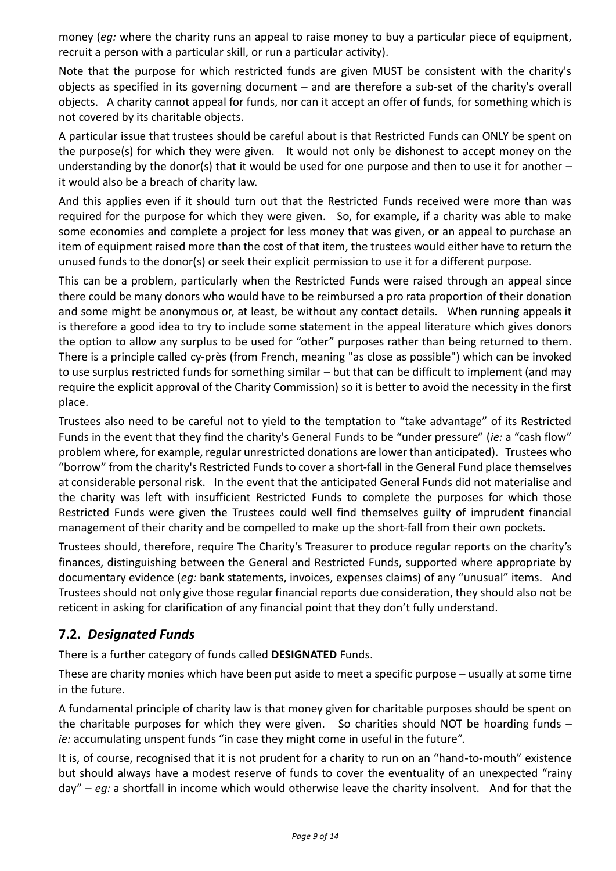money (*eg:* where the charity runs an appeal to raise money to buy a particular piece of equipment, recruit a person with a particular skill, or run a particular activity).

Note that the purpose for which restricted funds are given MUST be consistent with the charity's objects as specified in its governing document – and are therefore a sub-set of the charity's overall objects. A charity cannot appeal for funds, nor can it accept an offer of funds, for something which is not covered by its charitable objects.

A particular issue that trustees should be careful about is that Restricted Funds can ONLY be spent on the purpose(s) for which they were given. It would not only be dishonest to accept money on the understanding by the donor(s) that it would be used for one purpose and then to use it for another  $$ it would also be a breach of charity law.

And this applies even if it should turn out that the Restricted Funds received were more than was required for the purpose for which they were given. So, for example, if a charity was able to make some economies and complete a project for less money that was given, or an appeal to purchase an item of equipment raised more than the cost of that item, the trustees would either have to return the unused funds to the donor(s) or seek their explicit permission to use it for a different purpose.

This can be a problem, particularly when the Restricted Funds were raised through an appeal since there could be many donors who would have to be reimbursed a pro rata proportion of their donation and some might be anonymous or, at least, be without any contact details. When running appeals it is therefore a good idea to try to include some statement in the appeal literature which gives donors the option to allow any surplus to be used for "other" purposes rather than being returned to them. There is a principle called [cy-près \(](http://en.wikipedia.org/wiki/Cy-pr%C3%A8s_doctrine)from French, meaning "as close as possible") which can be invoked to use surplus restricted funds for something similar – but that can be difficult to implement (and may require the explicit approval of the Charity Commission) so it is better to avoid the necessity in the first place.

Trustees also need to be careful not to yield to the temptation to "take advantage" of its Restricted Funds in the event that they find the charity's General Funds to be "under pressure" (*ie:* a "cash flow" problem where, for example, regular unrestricted donations are lower than anticipated). Trustees who "borrow" from the charity's Restricted Funds to cover a short-fall in the General Fund place themselves at considerable personal risk. In the event that the anticipated General Funds did not materialise and the charity was left with insufficient Restricted Funds to complete the purposes for which those Restricted Funds were given the Trustees could well find themselves guilty of imprudent financial management of their charity and be compelled to make up the short-fall from their own pockets.

Trustees should, therefore, require The Charity's Treasurer to produce regular reports on the charity's finances, distinguishing between the General and Restricted Funds, supported where appropriate by documentary evidence (*eg:* bank statements, invoices, expenses claims) of any "unusual" items. And Trustees should not only give those regular financial reports due consideration, they should also not be reticent in asking for clarification of any financial point that they don't fully understand.

#### **7.2.** *Designated Funds*

There is a further category of funds called **DESIGNATED** Funds.

These are charity monies which have been put aside to meet a specific purpose – usually at some time in the future.

A fundamental principle of charity law is that money given for charitable purposes should be spent on the charitable purposes for which they were given. So charities should NOT be hoarding funds  $$ *ie:* accumulating unspent funds "in case they might come in useful in the future".

It is, of course, recognised that it is not prudent for a charity to run on an "hand-to-mouth" existence but should always have a modest reserve of funds to cover the eventuality of an unexpected "rainy day" – *eg:* a shortfall in income which would otherwise leave the charity insolvent. And for that the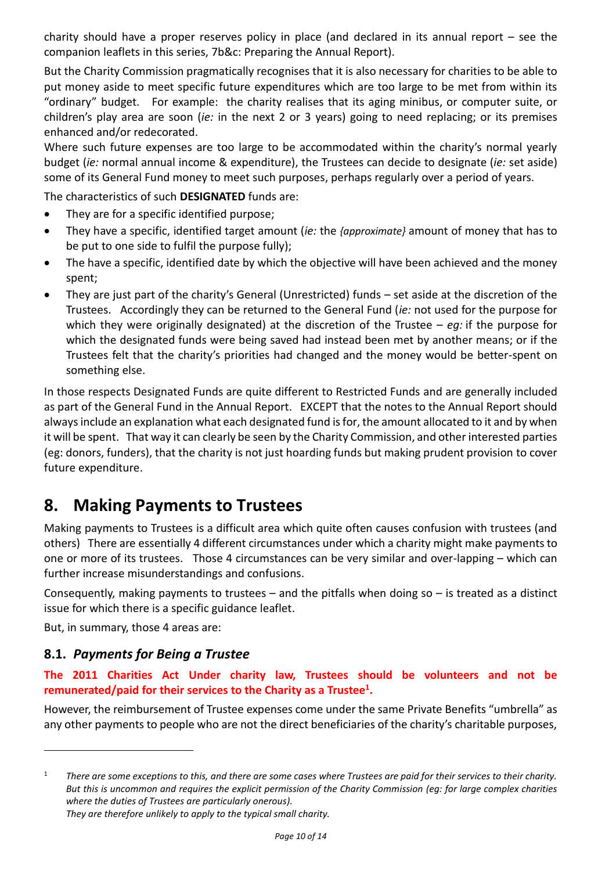charity should have a proper reserves policy in place (and declared in its annual report – see the companion leaflets in this series, 7b&c: Preparing the Annual Report).

But the Charity Commission pragmatically recognises that it is also necessary for charities to be able to put money aside to meet specific future expenditures which are too large to be met from within its "ordinary" budget. For example: the charity realises that its aging minibus, or computer suite, or children's play area are soon (*ie:* in the next 2 or 3 years) going to need replacing; or its premises enhanced and/or redecorated.

Where such future expenses are too large to be accommodated within the charity's normal yearly budget (*ie:* normal annual income & expenditure), the Trustees can decide to designate (*ie:* set aside) some of its General Fund money to meet such purposes, perhaps regularly over a period of years.

The characteristics of such **DESIGNATED** funds are:

- They are for a specific identified purpose;
- They have a specific, identified target amount (*ie:* the *{approximate}* amount of money that has to be put to one side to fulfil the purpose fully);
- The have a specific, identified date by which the objective will have been achieved and the money spent;
- They are just part of the charity's General (Unrestricted) funds set aside at the discretion of the Trustees. Accordingly they can be returned to the General Fund (*ie:* not used for the purpose for which they were originally designated) at the discretion of the Trustee – *eg:* if the purpose for which the designated funds were being saved had instead been met by another means; or if the Trustees felt that the charity's priorities had changed and the money would be better-spent on something else.

In those respects Designated Funds are quite different to Restricted Funds and are generally included as part of the General Fund in the Annual Report. EXCEPT that the notes to the Annual Report should always include an explanation what each designated fund is for, the amount allocated to it and by when it will be spent. That way it can clearly be seen by the Charity Commission, and other interested parties (eg: donors, funders), that the charity is not just hoarding funds but making prudent provision to cover future expenditure.

### <span id="page-9-0"></span>**8. Making Payments to Trustees**

Making payments to Trustees is a difficult area which quite often causes confusion with trustees (and others) There are essentially 4 different circumstances under which a charity might make payments to one or more of its trustees. Those 4 circumstances can be very similar and over-lapping – which can further increase misunderstandings and confusions.

Consequently, making payments to trustees – and the pitfalls when doing so – is treated as a distinct issue for which there is a specific guidance leaflet.

But, in summary, those 4 areas are:

#### **8.1.** *Payments for Being a Trustee*

**The 2011 Charities Act Under charity law, Trustees should be volunteers and not be remunerated/paid for their services to the Charity as a Trustee<sup>1</sup> .**

However, the reimbursement of Trustee expenses come under the same Private Benefits "umbrella" as any other payments to people who are not the direct beneficiaries of the charity's charitable purposes,

*Page 10 of 14*

<sup>&</sup>lt;sup>1</sup> There are some exceptions to this, and there are some cases where Trustees are paid for their services to their charity. *But this is uncommon and requires the explicit permission of the Charity Commission (eg: for large complex charities where the duties of Trustees are particularly onerous). They are therefore unlikely to apply to the typical small charity.*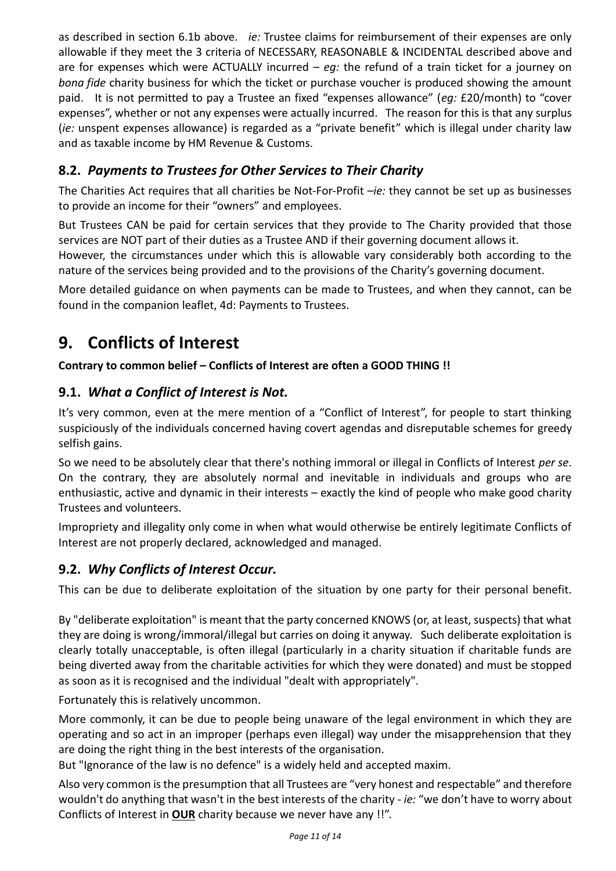as described in section [6.1b](#page-7-1) above. *ie:* Trustee claims for reimbursement of their expenses are only allowable if they meet the 3 criteria of NECESSARY, REASONABLE & INCIDENTAL described above and are for expenses which were ACTUALLY incurred – *eg:* the refund of a train ticket for a journey on *bona fide* charity business for which the ticket or purchase voucher is produced showing the amount paid. It is not permitted to pay a Trustee an fixed "expenses allowance" (*eg:* £20/month) to "cover expenses", whether or not any expenses were actually incurred. The reason for this is that any surplus (*ie:* unspent expenses allowance) is regarded as a "private benefit" which is illegal under charity law and as taxable income by HM Revenue & Customs.

#### **8.2.** *Payments to Trustees for Other Services to Their Charity*

The Charities Act requires that all charities be Not-For-Profit –*ie:* they cannot be set up as businesses to provide an income for their "owners" and employees.

But Trustees CAN be paid for certain services that they provide to The Charity provided that those services are NOT part of their duties as a Trustee AND if their governing document allows it. However, the circumstances under which this is allowable vary considerably both according to the

nature of the services being provided and to the provisions of the Charity's governing document.

More detailed guidance on when payments can be made to Trustees, and when they cannot, can be found in the companion leaflet, 4d: Payments to Trustees.

### <span id="page-10-0"></span>**9. Conflicts of Interest**

#### **Contrary to common belief – Conflicts of Interest are often a GOOD THING !!**

#### **9.1.** *What a Conflict of Interest is Not.*

It's very common, even at the mere mention of a "Conflict of Interest", for people to start thinking suspiciously of the individuals concerned having covert agendas and disreputable schemes for greedy selfish gains.

So we need to be absolutely clear that there's nothing immoral or illegal in Conflicts of Interest *per se*. On the contrary, they are absolutely normal and inevitable in individuals and groups who are enthusiastic, active and dynamic in their interests – exactly the kind of people who make good charity Trustees and volunteers.

Impropriety and illegality only come in when what would otherwise be entirely legitimate Conflicts of Interest are not properly declared, acknowledged and managed.

#### **9.2.** *Why Conflicts of Interest Occur.*

This can be due to deliberate exploitation of the situation by one party for their personal benefit.

By "deliberate exploitation" is meant that the party concerned KNOWS (or, at least, suspects) that what they are doing is wrong/immoral/illegal but carries on doing it anyway. Such deliberate exploitation is clearly totally unacceptable, is often illegal (particularly in a charity situation if charitable funds are being diverted away from the charitable activities for which they were donated) and must be stopped as soon as it is recognised and the individual "dealt with appropriately".

Fortunately this is relatively uncommon.

More commonly, it can be due to people being unaware of the legal environment in which they are operating and so act in an improper (perhaps even illegal) way under the misapprehension that they are doing the right thing in the best interests of the organisation.

But "Ignorance of the law is no defence" is a widely held and accepted maxim.

Also very common is the presumption that all Trustees are "very honest and respectable" and therefore wouldn't do anything that wasn't in the best interests of the charity - *ie:* "we don't have to worry about Conflicts of Interest in **OUR** charity because we never have any !!".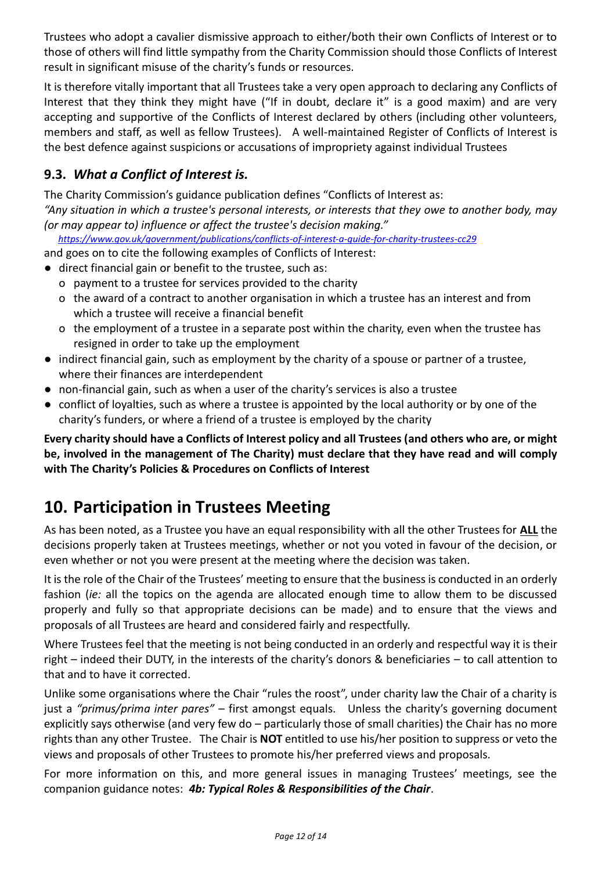Trustees who adopt a cavalier dismissive approach to either/both their own Conflicts of Interest or to those of others will find little sympathy from the Charity Commission should those Conflicts of Interest result in significant misuse of the charity's funds or resources.

It is therefore vitally important that all Trustees take a very open approach to declaring any Conflicts of Interest that they think they might have ("If in doubt, declare it" is a good maxim) and are very accepting and supportive of the Conflicts of Interest declared by others (including other volunteers, members and staff, as well as fellow Trustees). A well-maintained Register of Conflicts of Interest is the best defence against suspicions or accusations of impropriety against individual Trustees

#### **9.3.** *What a Conflict of Interest is.*

The Charity Commission's guidance publication defines "Conflicts of Interest as:

*"Any situation in which a trustee's personal interests, or interests that they owe to another body, may (or may appear to) influence or affect the trustee's decision making."*

*<https://www.gov.uk/government/publications/conflicts-of-interest-a-guide-for-charity-trustees-cc29>*

and goes on to cite the following examples of Conflicts of Interest:

- direct financial gain or benefit to the trustee, such as:
	- o payment to a trustee for services provided to the charity
	- o the award of a contract to another organisation in which a trustee has an interest and from which a trustee will receive a financial benefit
	- o the employment of a trustee in a separate post within the charity, even when the trustee has resigned in order to take up the employment
- indirect financial gain, such as employment by the charity of a spouse or partner of a trustee, where their finances are interdependent
- non-financial gain, such as when a user of the charity's services is also a trustee
- conflict of loyalties, such as where a trustee is appointed by the local authority or by one of the charity's funders, or where a friend of a trustee is employed by the charity

**Every charity should have a Conflicts of Interest policy and all Trustees (and others who are, or might be, involved in the management of The Charity) must declare that they have read and will comply with The Charity's Policies & Procedures on Conflicts of Interest**

### <span id="page-11-0"></span>**10. Participation in Trustees Meeting**

As has been noted, as a Trustee you have an equal responsibility with all the other Trustees for **ALL** the decisions properly taken at Trustees meetings, whether or not you voted in favour of the decision, or even whether or not you were present at the meeting where the decision was taken.

It is the role of the Chair of the Trustees' meeting to ensure that the business is conducted in an orderly fashion (*ie:* all the topics on the agenda are allocated enough time to allow them to be discussed properly and fully so that appropriate decisions can be made) and to ensure that the views and proposals of all Trustees are heard and considered fairly and respectfully.

Where Trustees feel that the meeting is not being conducted in an orderly and respectful way it is their right – indeed their DUTY, in the interests of the charity's donors & beneficiaries – to call attention to that and to have it corrected.

Unlike some organisations where the Chair "rules the roost", under charity law the Chair of a charity is just a *"primus/prima inter pares"* – first amongst equals. Unless the charity's governing document explicitly says otherwise (and very few do – particularly those of small charities) the Chair has no more rights than any other Trustee. The Chair is **NOT** entitled to use his/her position to suppress or veto the views and proposals of other Trustees to promote his/her preferred views and proposals.

For more information on this, and more general issues in managing Trustees' meetings, see the companion guidance notes: *4b: Typical Roles & Responsibilities of the Chair*.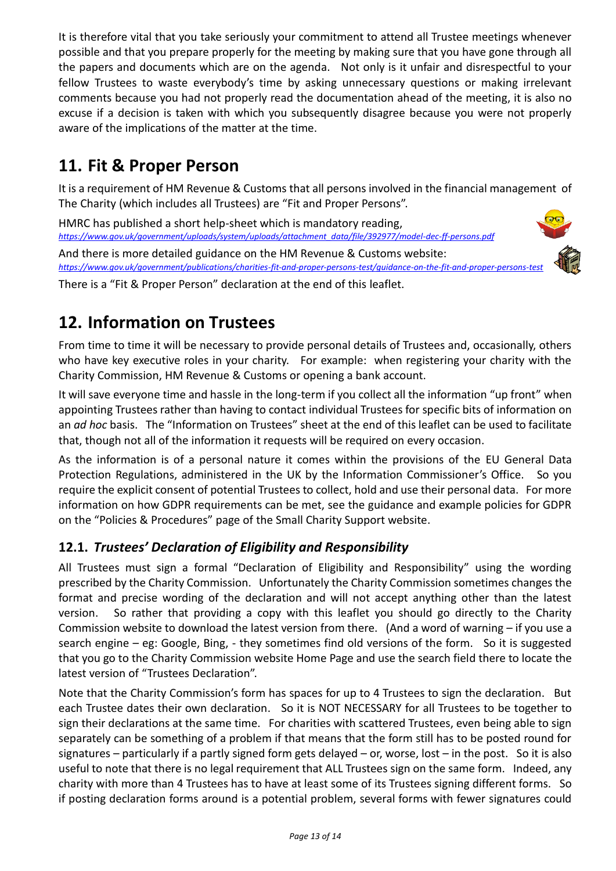It is therefore vital that you take seriously your commitment to attend all Trustee meetings whenever possible and that you prepare properly for the meeting by making sure that you have gone through all the papers and documents which are on the agenda. Not only is it unfair and disrespectful to your fellow Trustees to waste everybody's time by asking unnecessary questions or making irrelevant comments because you had not properly read the documentation ahead of the meeting, it is also no excuse if a decision is taken with which you subsequently disagree because you were not properly aware of the implications of the matter at the time.

### <span id="page-12-0"></span>**11. Fit & Proper Person**

It is a requirement of HM Revenue & Customs that all persons involved in the financial management of The Charity (which includes all Trustees) are "Fit and Proper Persons".

HMRC has published a short help-sheet which is mandatory reading, *[https://www.gov.uk/government/uploads/system/uploads/attachment\\_data/file/392977/model-dec-ff-persons.pdf](https://www.gov.uk/government/uploads/system/uploads/attachment_data/file/392977/model-dec-ff-persons.pdf)*

And there is more detailed guidance on the HM Revenue & Customs website: *<https://www.gov.uk/government/publications/charities-fit-and-proper-persons-test/guidance-on-the-fit-and-proper-persons-test>*

<span id="page-12-1"></span>There is a "Fit & Proper Person" declaration at the end of this leaflet.



### **12. Information on Trustees**

From time to time it will be necessary to provide personal details of Trustees and, occasionally, others who have key executive roles in your charity. For example: when registering your charity with the Charity Commission, HM Revenue & Customs or opening a bank account.

It will save everyone time and hassle in the long-term if you collect all the information "up front" when appointing Trustees rather than having to contact individual Trustees for specific bits of information on an *ad hoc* basis. The "Information on Trustees" sheet at the end of this leaflet can be used to facilitate that, though not all of the information it requests will be required on every occasion.

As the information is of a personal nature it comes within the provisions of the EU General Data Protection Regulations, administered in the UK by the Information Commissioner's Office. So you require the explicit consent of potential Trustees to collect, hold and use their personal data. For more information on how GDPR requirements can be met, see the guidance and example policies for GDPR on the "Policies & Procedures" page of the Small Charity Support website.

#### **12.1.** *Trustees' Declaration of Eligibility and Responsibility*

All Trustees must sign a formal "Declaration of Eligibility and Responsibility" using the wording prescribed by the Charity Commission. Unfortunately the Charity Commission sometimes changes the format and precise wording of the declaration and will not accept anything other than the latest version. So rather that providing a copy with this leaflet you should go directly to the Charity Commission website to download the latest version from there. (And a word of warning – if you use a search engine – eg: Google, Bing, - they sometimes find old versions of the form. So it is suggested that you go to the Charity Commission website Home Page and use the search field there to locate the latest version of "Trustees Declaration".

Note that the Charity Commission's form has spaces for up to 4 Trustees to sign the declaration. But each Trustee dates their own declaration. So it is NOT NECESSARY for all Trustees to be together to sign their declarations at the same time. For charities with scattered Trustees, even being able to sign separately can be something of a problem if that means that the form still has to be posted round for signatures – particularly if a partly signed form gets delayed – or, worse, lost – in the post. So it is also useful to note that there is no legal requirement that ALL Trustees sign on the same form. Indeed, any charity with more than 4 Trustees has to have at least some of its Trustees signing different forms. So if posting declaration forms around is a potential problem, several forms with fewer signatures could